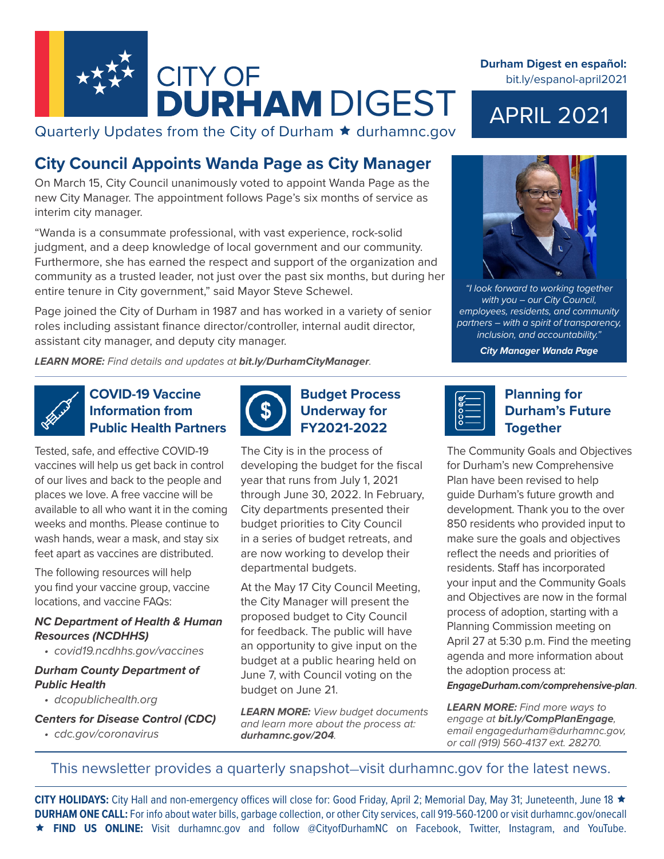

Quarterly Updates from the City of Durham  $\star$  durhamnc.gov

# **City Council Appoints Wanda Page as City Manager**

On March 15, City Council unanimously voted to appoint Wanda Page as the new City Manager. The appointment follows Page's six months of service as interim city manager.

"Wanda is a consummate professional, with vast experience, rock-solid judgment, and a deep knowledge of local government and our community. Furthermore, she has earned the respect and support of the organization and community as a trusted leader, not just over the past six months, but during her entire tenure in City government," said Mayor Steve Schewel.

Page joined the City of Durham in 1987 and has worked in a variety of senior roles including assistant finance director/controller, internal audit director, assistant city manager, and deputy city manager.

*LEARN MORE: Find details and updates at bit.ly/DurhamCityManager.*

**COVID-19 Vaccine Information from Public Health Partners**

Tested, safe, and effective COVID-19 vaccines will help us get back in control of our lives and back to the people and places we love. A free vaccine will be available to all who want it in the coming weeks and months. Please continue to wash hands, wear a mask, and stay six feet apart as vaccines are distributed.

The following resources will help you find your vaccine group, vaccine locations, and vaccine FAQs:

#### *NC Department of Health & Human Resources (NCDHHS)*

*• covid19.ncdhhs.gov/vaccines*

#### *Durham County Department of Public Health*

*• dcopublichealth.org*

*Centers for Disease Control (CDC)*

*• cdc.gov/coronavirus*



**Budget Process Underway for FY2021-2022**

The City is in the process of developing the budget for the fiscal year that runs from July 1, 2021 through June 30, 2022. In February, City departments presented their budget priorities to City Council in a series of budget retreats, and are now working to develop their departmental budgets.

At the May 17 City Council Meeting, the City Manager will present the proposed budget to City Council for feedback. The public will have an opportunity to give input on the budget at a public hearing held on June 7, with Council voting on the budget on June 21.

*LEARN MORE: View budget documents and learn more about the process at: durhamnc.gov/204.*

#### **Durham Digest en español:**  bit.ly/espanol-april2021

# APRIL 2021



*"I look forward to working together with you – our City Council, employees, residents, and community partners – with a spirit of transparency, inclusion, and accountability."*

*City Manager Wanda Page*



# **Planning for Durham's Future Together**

The Community Goals and Objectives for Durham's new Comprehensive Plan have been revised to help guide Durham's future growth and development. Thank you to the over 850 residents who provided input to make sure the goals and objectives reflect the needs and priorities of residents. Staff has incorporated your input and the Community Goals and Objectives are now in the formal process of adoption, starting with a Planning Commission meeting on April 27 at 5:30 p.m. Find the meeting agenda and more information about the adoption process at:

*EngageDurham.com/comprehensive-plan*.

*LEARN MORE: Find more ways to engage at bit.ly/CompPlanEngage, email engagedurham@durhamnc.gov, or call (919) 560-4137 ext. 28270.*

### This newsletter provides a quarterly snapshot—visit durhamnc.gov for the latest news.

CITY HOLIDAYS: City Hall and non-emergency offices will close for: Good Friday, April 2; Memorial Day, May 31; Juneteenth, June 18 ★ **DURHAM ONE CALL:** For info about water bills, garbage collection, or other City services, call 919-560-1200 or visit durhamnc.gov/onecall **FIND US ONLINE:** Visit durhamnc.gov and follow @CityofDurhamNC on Facebook, Twitter, Instagram, and YouTube.